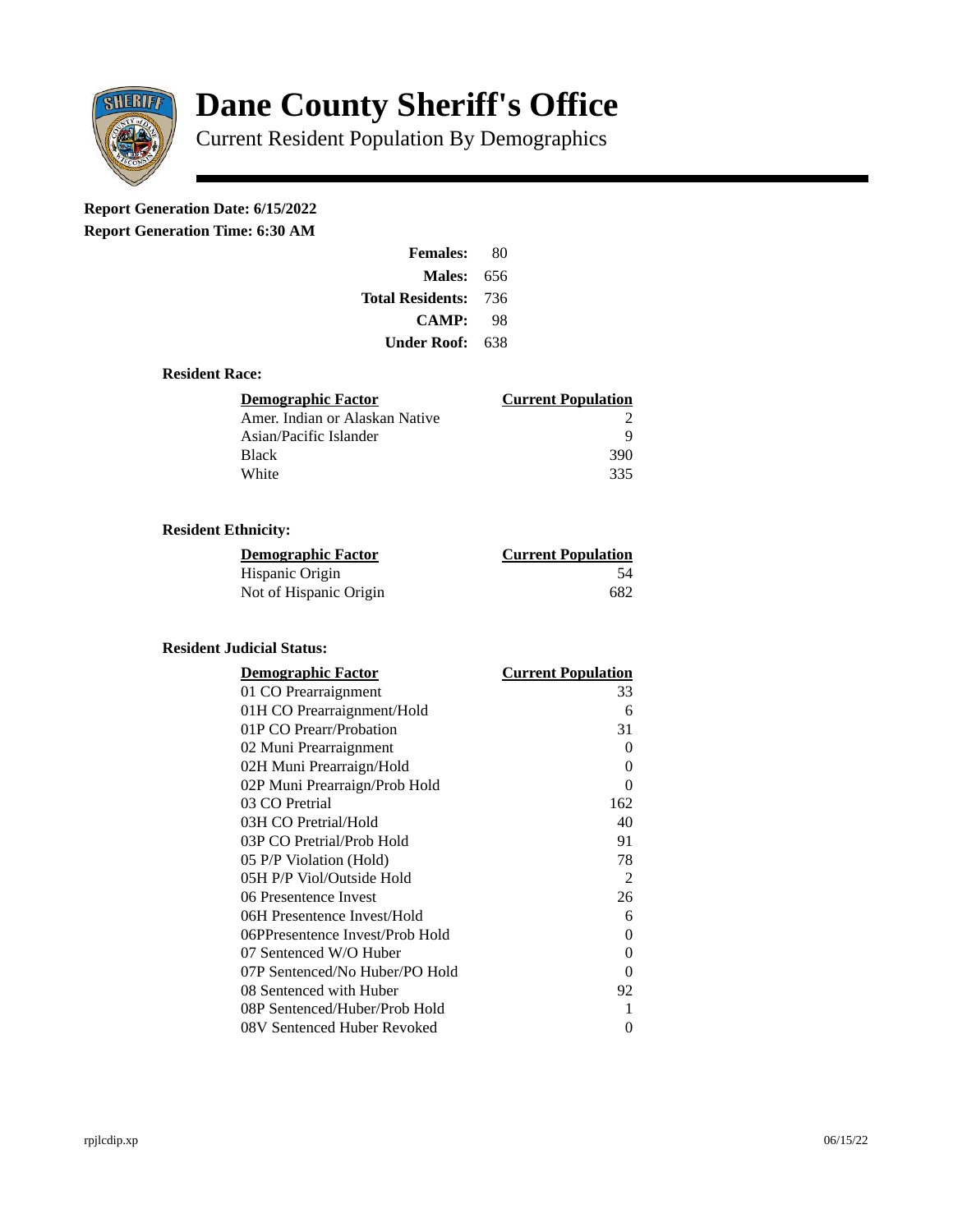

# **Dane County Sheriff's Office**

Current Resident Population By Demographics

# **Report Generation Date: 6/15/2022**

**Report Generation Time: 6:30 AM** 

| <b>Females:</b>         | 80   |
|-------------------------|------|
| Males:                  | 656  |
| <b>Total Residents:</b> | -736 |
| <b>CAMP:</b>            | 98   |
| Under Roof: \           | 638  |

### **Resident Race:**

| Demographic Factor             | <b>Current Population</b> |
|--------------------------------|---------------------------|
| Amer. Indian or Alaskan Native |                           |
| Asian/Pacific Islander         | q                         |
| Black                          | 390                       |
| White                          | 335                       |

# **Resident Ethnicity:**

| <u> Demographic Factor</u> | <b>Current Population</b> |
|----------------------------|---------------------------|
| Hispanic Origin            | 54                        |
| Not of Hispanic Origin     | 682                       |

#### **Resident Judicial Status:**

| <b>Demographic Factor</b>       | <b>Current Population</b> |
|---------------------------------|---------------------------|
| 01 CO Prearraignment            | 33                        |
| 01H CO Prearraignment/Hold      | 6                         |
| 01P CO Prearr/Probation         | 31                        |
| 02 Muni Prearraignment          | 0                         |
| 02H Muni Prearraign/Hold        | 0                         |
| 02P Muni Prearraign/Prob Hold   | 0                         |
| 03 CO Pretrial                  | 162                       |
| 03H CO Pretrial/Hold            | 40                        |
| 03P CO Pretrial/Prob Hold       | 91                        |
| 05 P/P Violation (Hold)         | 78                        |
| 05H P/P Viol/Outside Hold       | 2                         |
| 06 Presentence Invest           | 26                        |
| 06H Presentence Invest/Hold     | 6                         |
| 06PPresentence Invest/Prob Hold | 0                         |
| 07 Sentenced W/O Huber          | 0                         |
| 07P Sentenced/No Huber/PO Hold  | 0                         |
| 08 Sentenced with Huber         | 92                        |
| 08P Sentenced/Huber/Prob Hold   | 1                         |
| 08V Sentenced Huber Revoked     | 0                         |